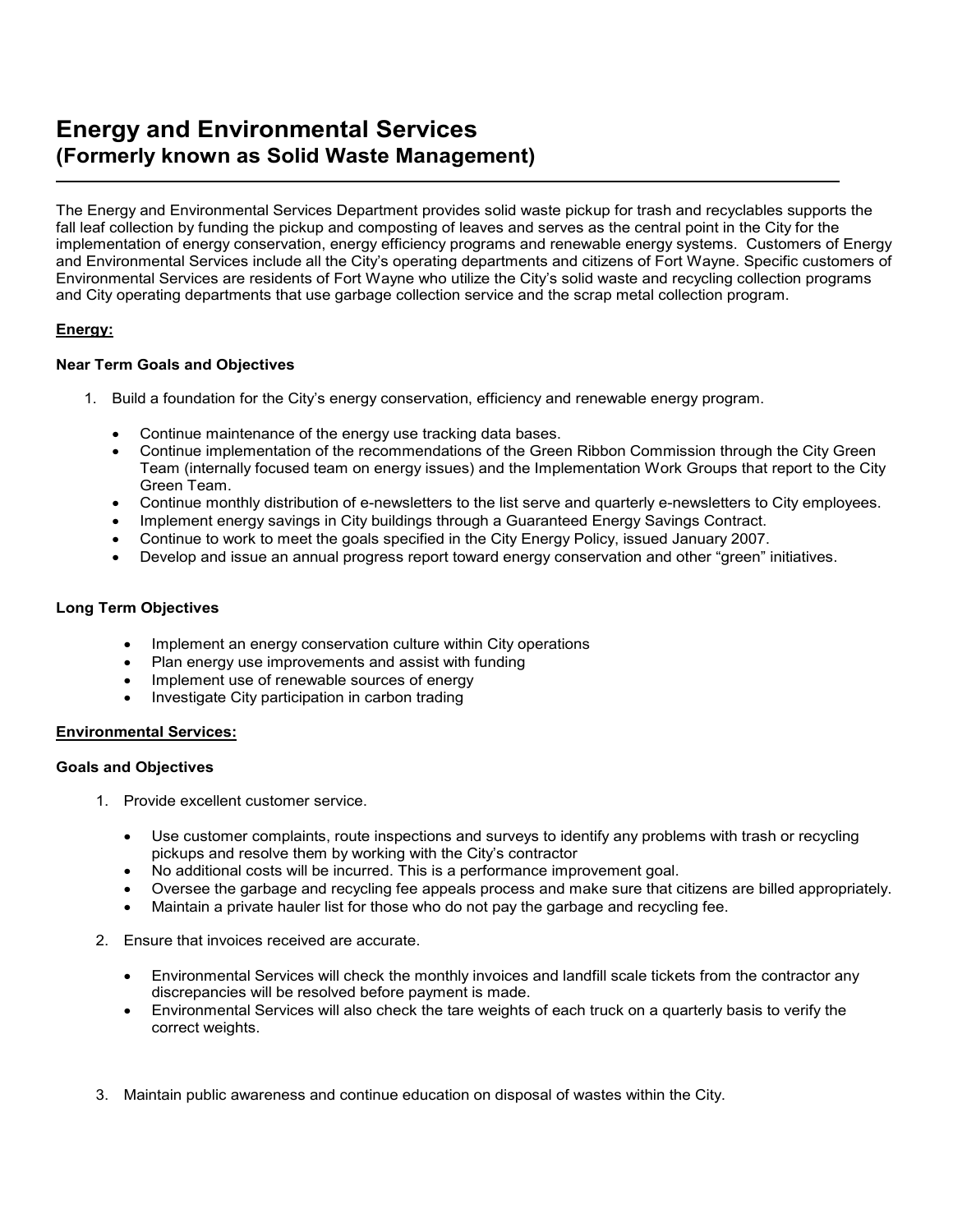# **Energy and Environmental Services (Formerly known as Solid Waste Management)** L

The Energy and Environmental Services Department provides solid waste pickup for trash and recyclables supports the fall leaf collection by funding the pickup and composting of leaves and serves as the central point in the City for the implementation of energy conservation, energy efficiency programs and renewable energy systems. Customers of Energy and Environmental Services include all the City's operating departments and citizens of Fort Wayne. Specific customers of Environmental Services are residents of Fort Wayne who utilize the City's solid waste and recycling collection programs and City operating departments that use garbage collection service and the scrap metal collection program.

# **Energy:**

## **Near Term Goals and Objectives**

- 1. Build a foundation for the City's energy conservation, efficiency and renewable energy program.
	- Continue maintenance of the energy use tracking data bases.
	- Continue implementation of the recommendations of the Green Ribbon Commission through the City Green Team (internally focused team on energy issues) and the Implementation Work Groups that report to the City Green Team.
	- Continue monthly distribution of e-newsletters to the list serve and quarterly e-newsletters to City employees.
	- Implement energy savings in City buildings through a Guaranteed Energy Savings Contract.
	- Continue to work to meet the goals specified in the City Energy Policy, issued January 2007.
	- Develop and issue an annual progress report toward energy conservation and other "green" initiatives.

#### **Long Term Objectives**

- Implement an energy conservation culture within City operations
- Plan energy use improvements and assist with funding
- Implement use of renewable sources of energy
- Investigate City participation in carbon trading

#### **Environmental Services:**

#### **Goals and Objectives**

- 1. Provide excellent customer service.
	- Use customer complaints, route inspections and surveys to identify any problems with trash or recycling pickups and resolve them by working with the City's contractor
	- No additional costs will be incurred. This is a performance improvement goal.
	- Oversee the garbage and recycling fee appeals process and make sure that citizens are billed appropriately.
	- Maintain a private hauler list for those who do not pay the garbage and recycling fee.
- 2. Ensure that invoices received are accurate.
	- Environmental Services will check the monthly invoices and landfill scale tickets from the contractor any discrepancies will be resolved before payment is made.
	- Environmental Services will also check the tare weights of each truck on a quarterly basis to verify the correct weights.
- 3. Maintain public awareness and continue education on disposal of wastes within the City.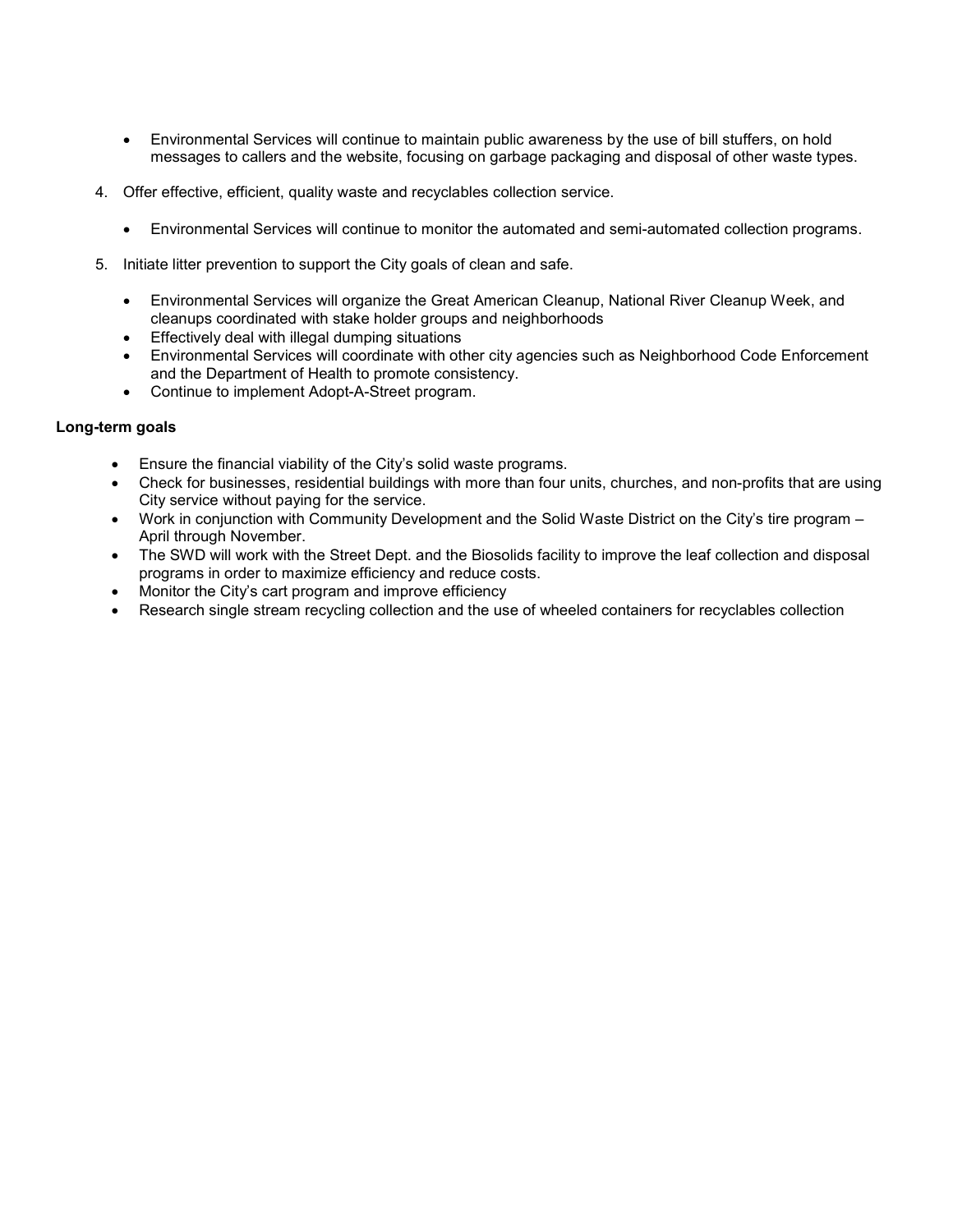- Environmental Services will continue to maintain public awareness by the use of bill stuffers, on hold messages to callers and the website, focusing on garbage packaging and disposal of other waste types.
- 4. Offer effective, efficient, quality waste and recyclables collection service.
	- Environmental Services will continue to monitor the automated and semi-automated collection programs.
- 5. Initiate litter prevention to support the City goals of clean and safe.
	- Environmental Services will organize the Great American Cleanup, National River Cleanup Week, and cleanups coordinated with stake holder groups and neighborhoods
	- Effectively deal with illegal dumping situations
	- Environmental Services will coordinate with other city agencies such as Neighborhood Code Enforcement and the Department of Health to promote consistency.
	- Continue to implement Adopt-A-Street program.

## **Long-term goals**

- Ensure the financial viability of the City's solid waste programs.
- Check for businesses, residential buildings with more than four units, churches, and non-profits that are using City service without paying for the service.
- Work in conjunction with Community Development and the Solid Waste District on the City's tire program April through November.
- The SWD will work with the Street Dept. and the Biosolids facility to improve the leaf collection and disposal programs in order to maximize efficiency and reduce costs.
- Monitor the City's cart program and improve efficiency
- Research single stream recycling collection and the use of wheeled containers for recyclables collection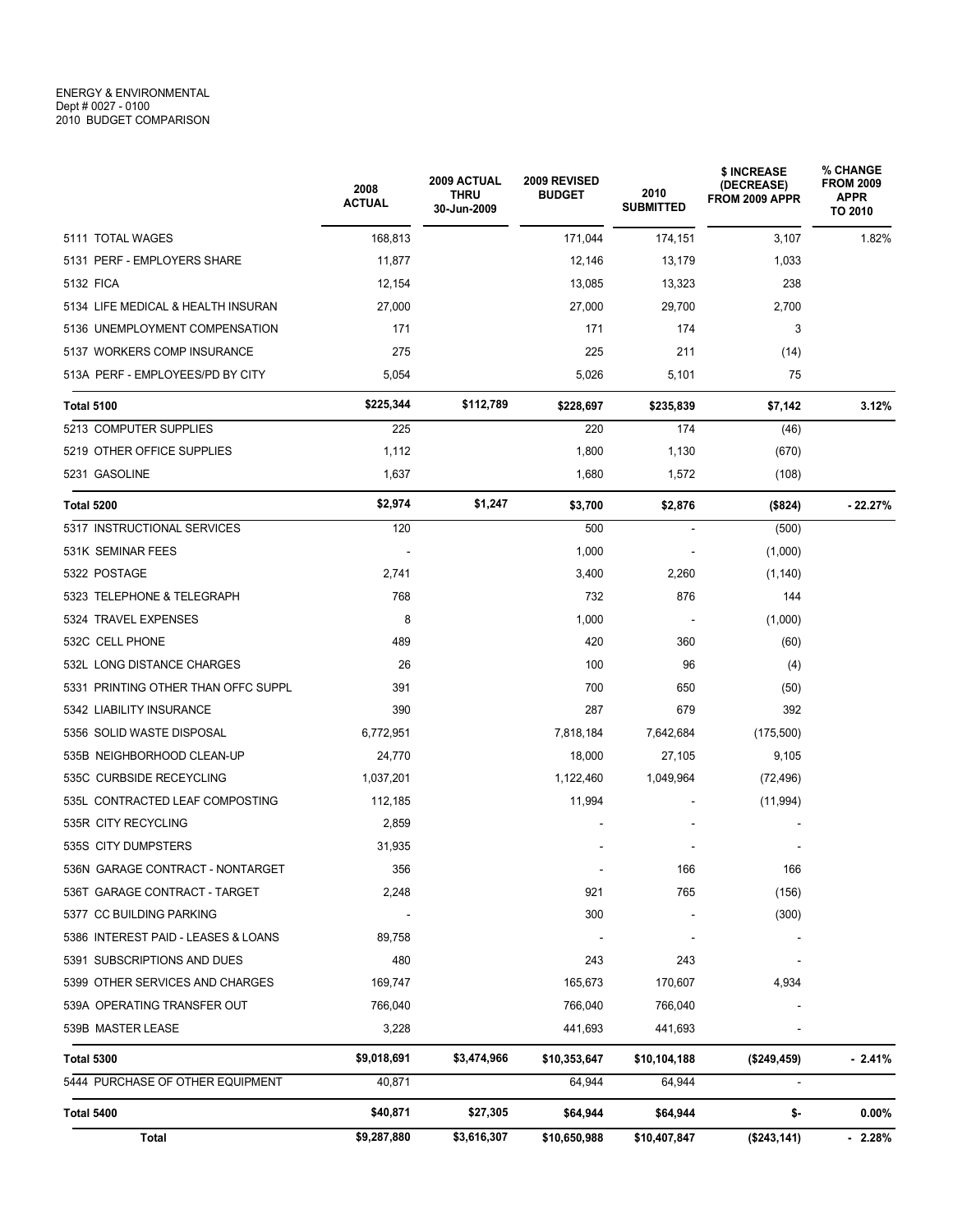|                                     | 2008<br><b>ACTUAL</b> | 2009 ACTUAL<br><b>THRU</b><br>30-Jun-2009 | 2009 REVISED<br><b>BUDGET</b> | 2010<br><b>SUBMITTED</b> | \$ INCREASE<br>(DECREASE)<br>FROM 2009 APPR | % CHANGE<br><b>FROM 2009</b><br><b>APPR</b><br>TO 2010 |
|-------------------------------------|-----------------------|-------------------------------------------|-------------------------------|--------------------------|---------------------------------------------|--------------------------------------------------------|
| 5111 TOTAL WAGES                    | 168,813               |                                           | 171,044                       | 174,151                  | 3,107                                       | 1.82%                                                  |
| 5131 PERF - EMPLOYERS SHARE         | 11,877                |                                           | 12,146                        | 13,179                   | 1,033                                       |                                                        |
| 5132 FICA                           | 12,154                |                                           | 13,085                        | 13,323                   | 238                                         |                                                        |
| 5134 LIFE MEDICAL & HEALTH INSURAN  | 27,000                |                                           | 27,000                        | 29,700                   | 2,700                                       |                                                        |
| 5136 UNEMPLOYMENT COMPENSATION      | 171                   |                                           | 171                           | 174                      | 3                                           |                                                        |
| 5137 WORKERS COMP INSURANCE         | 275                   |                                           | 225                           | 211                      | (14)                                        |                                                        |
| 513A PERF - EMPLOYEES/PD BY CITY    | 5,054                 |                                           | 5,026                         | 5,101                    | 75                                          |                                                        |
| <b>Total 5100</b>                   | \$225,344             | \$112,789                                 | \$228,697                     | \$235,839                | \$7,142                                     | 3.12%                                                  |
| 5213 COMPUTER SUPPLIES              | 225                   |                                           | 220                           | 174                      | (46)                                        |                                                        |
| 5219 OTHER OFFICE SUPPLIES          | 1,112                 |                                           | 1,800                         | 1,130                    | (670)                                       |                                                        |
| 5231 GASOLINE                       | 1,637                 |                                           | 1,680                         | 1,572                    | (108)                                       |                                                        |
| Total 5200                          | \$2,974               | \$1,247                                   | \$3,700                       | \$2,876                  | (\$824)                                     | $-22.27%$                                              |
| 5317 INSTRUCTIONAL SERVICES         | 120                   |                                           | 500                           | $\bar{\phantom{a}}$      | (500)                                       |                                                        |
| 531K SEMINAR FEES                   |                       |                                           | 1,000                         |                          | (1,000)                                     |                                                        |
| 5322 POSTAGE                        | 2,741                 |                                           | 3,400                         | 2,260                    | (1, 140)                                    |                                                        |
| 5323 TELEPHONE & TELEGRAPH          | 768                   |                                           | 732                           | 876                      | 144                                         |                                                        |
| 5324 TRAVEL EXPENSES                | 8                     |                                           | 1,000                         | $\overline{\phantom{a}}$ | (1,000)                                     |                                                        |
| 532C CELL PHONE                     | 489                   |                                           | 420                           | 360                      | (60)                                        |                                                        |
| 532L LONG DISTANCE CHARGES          | 26                    |                                           | 100                           | 96                       | (4)                                         |                                                        |
| 5331 PRINTING OTHER THAN OFFC SUPPL | 391                   |                                           | 700                           | 650                      | (50)                                        |                                                        |
| 5342 LIABILITY INSURANCE            | 390                   |                                           | 287                           | 679                      | 392                                         |                                                        |
| 5356 SOLID WASTE DISPOSAL           | 6,772,951             |                                           | 7,818,184                     | 7,642,684                | (175, 500)                                  |                                                        |
| 535B NEIGHBORHOOD CLEAN-UP          | 24,770                |                                           | 18,000                        | 27,105                   | 9,105                                       |                                                        |
| 535C CURBSIDE RECEYCLING            | 1,037,201             |                                           | 1,122,460                     | 1,049,964                | (72, 496)                                   |                                                        |
| 535L CONTRACTED LEAF COMPOSTING     | 112,185               |                                           | 11,994                        |                          | (11, 994)                                   |                                                        |
| 535R CITY RECYCLING                 | 2,859                 |                                           |                               |                          |                                             |                                                        |
| 535S CITY DUMPSTERS                 | 31,935                |                                           |                               |                          |                                             |                                                        |
| 536N GARAGE CONTRACT - NONTARGET    | 356                   |                                           | $\overline{\phantom{a}}$      | 166                      | 166                                         |                                                        |
| 536T GARAGE CONTRACT - TARGET       | 2,248                 |                                           | 921                           | 765                      | (156)                                       |                                                        |
| 5377 CC BUILDING PARKING            |                       |                                           | 300                           |                          | (300)                                       |                                                        |
| 5386 INTEREST PAID - LEASES & LOANS | 89,758                |                                           |                               |                          |                                             |                                                        |
| 5391 SUBSCRIPTIONS AND DUES         | 480                   |                                           | 243                           | 243                      |                                             |                                                        |
| 5399 OTHER SERVICES AND CHARGES     | 169,747               |                                           | 165,673                       | 170,607                  | 4,934                                       |                                                        |
| 539A OPERATING TRANSFER OUT         | 766,040               |                                           | 766,040                       | 766,040                  |                                             |                                                        |
| 539B MASTER LEASE                   | 3,228                 |                                           | 441,693                       | 441,693                  |                                             |                                                        |
| <b>Total 5300</b>                   | \$9,018,691           | \$3,474,966                               | \$10,353,647                  | \$10,104,188             | (\$249, 459)                                | $-2.41%$                                               |
| 5444 PURCHASE OF OTHER EQUIPMENT    | 40,871                |                                           | 64,944                        | 64,944                   | $\overline{\phantom{a}}$                    |                                                        |
| <b>Total 5400</b>                   | \$40,871              | \$27,305                                  | \$64,944                      | \$64,944                 | \$-                                         | 0.00%                                                  |
| Total                               | \$9,287,880           | \$3,616,307                               | \$10,650,988                  | \$10,407,847             | (\$243, 141)                                | $-2.28%$                                               |